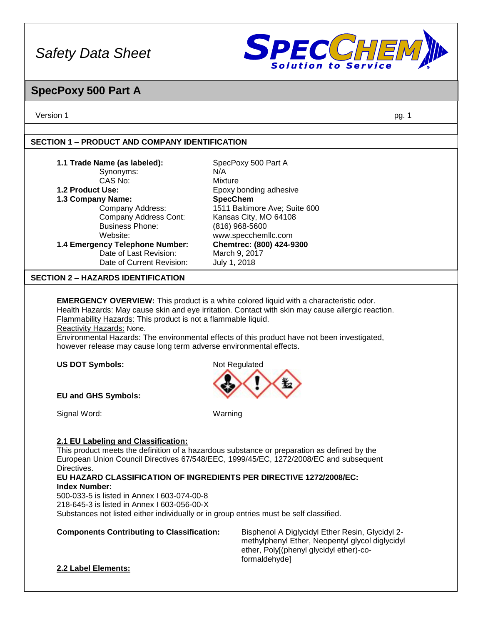

### **SpecPoxy 500 Part A**

Version 1 pg. 1

#### **SECTION 1 – PRODUCT AND COMPANY IDENTIFICATION**

| 1.1 Trade Name (as labeled):<br>Synonyms:                                                    | SpecPoxy 500 Part A<br>N/A.                                                                       |  |  |  |  |
|----------------------------------------------------------------------------------------------|---------------------------------------------------------------------------------------------------|--|--|--|--|
| CAS No:                                                                                      | Mixture                                                                                           |  |  |  |  |
| 1.2 Product Use:                                                                             | Epoxy bonding adhesive                                                                            |  |  |  |  |
| 1.3 Company Name:                                                                            | <b>SpecChem</b>                                                                                   |  |  |  |  |
| Company Address:                                                                             | 1511 Baltimore Ave; Suite 600                                                                     |  |  |  |  |
| Company Address Cont:                                                                        | Kansas City, MO 64108                                                                             |  |  |  |  |
| <b>Business Phone:</b>                                                                       | $(816)$ 968-5600                                                                                  |  |  |  |  |
| Website:                                                                                     | www.specchemllc.com                                                                               |  |  |  |  |
| 1.4 Emergency Telephone Number:                                                              | Chemtrec: (800) 424-9300                                                                          |  |  |  |  |
| Date of Last Revision:                                                                       | March 9, 2017                                                                                     |  |  |  |  |
| Date of Current Revision:                                                                    | July 1, 2018                                                                                      |  |  |  |  |
| <b>SECTION 2 – HAZARDS IDENTIFICATION</b>                                                    |                                                                                                   |  |  |  |  |
|                                                                                              |                                                                                                   |  |  |  |  |
|                                                                                              | <b>EMERGENCY OVERVIEW:</b> This product is a white colored liquid with a characteristic odor.     |  |  |  |  |
|                                                                                              | Health Hazards: May cause skin and eye irritation. Contact with skin may cause allergic reaction. |  |  |  |  |
| Flammability Hazards: This product is not a flammable liquid.                                |                                                                                                   |  |  |  |  |
| Reactivity Hazards: None.                                                                    |                                                                                                   |  |  |  |  |
| Environmental Hazards: The environmental effects of this product have not been investigated, |                                                                                                   |  |  |  |  |

however release may cause long term adverse environmental effects.

**US DOT Symbols:** Not Regulated



**EU and GHS Symbols:** 

Signal Word: Warning

### **2.1 EU Labeling and Classification:**

This product meets the definition of a hazardous substance or preparation as defined by the European Union Council Directives 67/548/EEC, 1999/45/EC, 1272/2008/EC and subsequent Directives.

**EU HAZARD CLASSIFICATION OF INGREDIENTS PER DIRECTIVE 1272/2008/EC: Index Number:**

500-033-5 is listed in Annex I 603-074-00-8 218-645-3 is listed in Annex I 603-056-00-X Substances not listed either individually or in group entries must be self classified.

### **Components Contributing to Classification:** Bisphenol A Diglycidyl Ether Resin, Glycidyl 2-

methylphenyl Ether, Neopentyl glycol diglycidyl ether, Poly[(phenyl glycidyl ether)-coformaldehyde]

### **2.2 Label Elements:**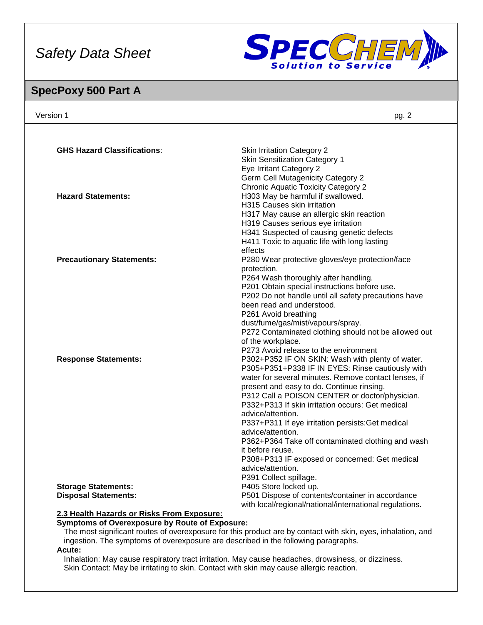

### **SpecPoxy 500 Part A**

| Version 1                                                                          | pg. 2                                                                                                        |
|------------------------------------------------------------------------------------|--------------------------------------------------------------------------------------------------------------|
|                                                                                    |                                                                                                              |
| <b>GHS Hazard Classifications:</b>                                                 | <b>Skin Irritation Category 2</b>                                                                            |
|                                                                                    | <b>Skin Sensitization Category 1</b>                                                                         |
|                                                                                    | Eye Irritant Category 2                                                                                      |
|                                                                                    | <b>Germ Cell Mutagenicity Category 2</b>                                                                     |
|                                                                                    | <b>Chronic Aquatic Toxicity Category 2</b>                                                                   |
| <b>Hazard Statements:</b>                                                          | H303 May be harmful if swallowed.                                                                            |
|                                                                                    | H315 Causes skin irritation                                                                                  |
|                                                                                    | H317 May cause an allergic skin reaction                                                                     |
|                                                                                    | H319 Causes serious eye irritation                                                                           |
|                                                                                    | H341 Suspected of causing genetic defects                                                                    |
|                                                                                    | H411 Toxic to aquatic life with long lasting                                                                 |
|                                                                                    | effects                                                                                                      |
| <b>Precautionary Statements:</b>                                                   | P280 Wear protective gloves/eye protection/face                                                              |
|                                                                                    | protection.                                                                                                  |
|                                                                                    | P264 Wash thoroughly after handling.                                                                         |
|                                                                                    | P201 Obtain special instructions before use.                                                                 |
|                                                                                    | P202 Do not handle until all safety precautions have                                                         |
|                                                                                    | been read and understood.                                                                                    |
|                                                                                    | P261 Avoid breathing                                                                                         |
|                                                                                    | dust/fume/gas/mist/vapours/spray.                                                                            |
|                                                                                    | P272 Contaminated clothing should not be allowed out                                                         |
|                                                                                    | of the workplace.                                                                                            |
|                                                                                    | P273 Avoid release to the environment                                                                        |
| <b>Response Statements:</b>                                                        | P302+P352 IF ON SKIN: Wash with plenty of water.                                                             |
|                                                                                    | P305+P351+P338 IF IN EYES: Rinse cautiously with                                                             |
|                                                                                    | water for several minutes. Remove contact lenses, if                                                         |
|                                                                                    | present and easy to do. Continue rinsing.                                                                    |
|                                                                                    | P312 Call a POISON CENTER or doctor/physician.                                                               |
|                                                                                    | P332+P313 If skin irritation occurs: Get medical                                                             |
|                                                                                    | advice/attention.                                                                                            |
|                                                                                    | P337+P311 If eye irritation persists: Get medical                                                            |
|                                                                                    | advice/attention.                                                                                            |
|                                                                                    | P362+P364 Take off contaminated clothing and wash                                                            |
|                                                                                    | it before reuse.                                                                                             |
|                                                                                    | P308+P313 IF exposed or concerned: Get medical                                                               |
|                                                                                    | advice/attention.                                                                                            |
|                                                                                    | P391 Collect spillage.                                                                                       |
| <b>Storage Statements:</b>                                                         | P405 Store locked up.                                                                                        |
| <b>Disposal Statements:</b>                                                        | P501 Dispose of contents/container in accordance                                                             |
|                                                                                    | with local/regional/national/international regulations.                                                      |
| 2.3 Health Hazards or Risks From Exposure:                                         |                                                                                                              |
| Symptoms of Overexposure by Route of Exposure:                                     |                                                                                                              |
|                                                                                    | The most significant routes of overexposure for this product are by contact with skin, eyes, inhalation, and |
| ingestion. The symptoms of overexposure are described in the following paragraphs. |                                                                                                              |

**Acute:**

Inhalation: May cause respiratory tract irritation. May cause headaches, drowsiness, or dizziness. Skin Contact: May be irritating to skin. Contact with skin may cause allergic reaction.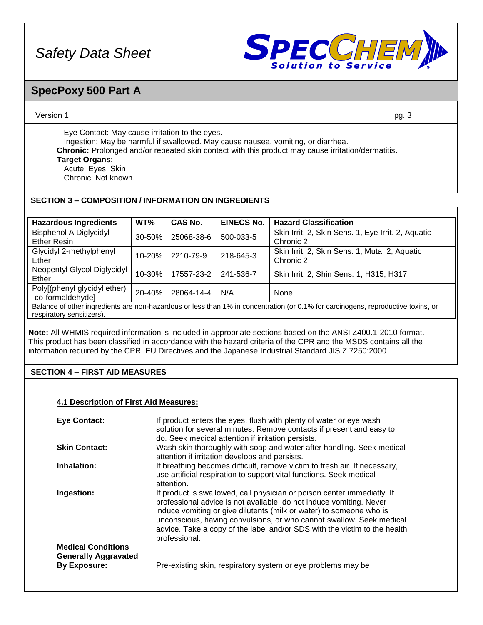

### **SpecPoxy 500 Part A**

#### Version 1 pg. 3

Eye Contact: May cause irritation to the eyes. Ingestion: May be harmful if swallowed. May cause nausea, vomiting, or diarrhea. **Chronic:** Prolonged and/or repeated skin contact with this product may cause irritation/dermatitis. **Target Organs:** Acute: Eyes, Skin

Chronic: Not known.

### **SECTION 3 – COMPOSITION / INFORMATION ON INGREDIENTS**

| <b>Hazardous Ingredients</b>                                                                                                                                   | WT%        | CAS No.    | <b>EINECS No.</b> | <b>Hazard Classification</b>                                    |
|----------------------------------------------------------------------------------------------------------------------------------------------------------------|------------|------------|-------------------|-----------------------------------------------------------------|
| <b>Bisphenol A Diglycidyl</b><br><b>Ether Resin</b>                                                                                                            | 30-50%     | 25068-38-6 | 500-033-5         | Skin Irrit. 2, Skin Sens. 1, Eye Irrit. 2, Aquatic<br>Chronic 2 |
| Glycidyl 2-methylphenyl<br>Ether                                                                                                                               | $10 - 20%$ | 2210-79-9  | 218-645-3         | Skin Irrit. 2, Skin Sens. 1, Muta. 2, Aquatic<br>Chronic 2      |
| Neopentyl Glycol Diglycidyl<br>Ether                                                                                                                           | 10-30%     | 17557-23-2 | 241-536-7         | Skin Irrit. 2, Shin Sens. 1, H315, H317                         |
| Poly[(phenyl glycidyl ether)<br>-co-formaldehyde]                                                                                                              | 20-40%     | 28064-14-4 | N/A               | None                                                            |
| Balance of other ingredients are non-hazardous or less than 1% in concentration (or 0.1% for carcinogens, reproductive toxins, or<br>respiratory sensitizers). |            |            |                   |                                                                 |

**Note:** All WHMIS required information is included in appropriate sections based on the ANSI Z400.1-2010 format. This product has been classified in accordance with the hazard criteria of the CPR and the MSDS contains all the information required by the CPR, EU Directives and the Japanese Industrial Standard JIS Z 7250:2000

### **SECTION 4 – FIRST AID MEASURES**

### **4.1 Description of First Aid Measures:**

| <b>Eye Contact:</b>                                                             | If product enters the eyes, flush with plenty of water or eye wash<br>solution for several minutes. Remove contacts if present and easy to<br>do. Seek medical attention if irritation persists.                                                                                                                                                                                            |
|---------------------------------------------------------------------------------|---------------------------------------------------------------------------------------------------------------------------------------------------------------------------------------------------------------------------------------------------------------------------------------------------------------------------------------------------------------------------------------------|
| <b>Skin Contact:</b>                                                            | Wash skin thoroughly with soap and water after handling. Seek medical<br>attention if irritation develops and persists.                                                                                                                                                                                                                                                                     |
| Inhalation:                                                                     | If breathing becomes difficult, remove victim to fresh air. If necessary,<br>use artificial respiration to support vital functions. Seek medical<br>attention.                                                                                                                                                                                                                              |
| Ingestion:                                                                      | If product is swallowed, call physician or poison center immediatly. If<br>professional advice is not available, do not induce vomiting. Never<br>induce vomiting or give dilutents (milk or water) to someone who is<br>unconscious, having convulsions, or who cannot swallow. Seek medical<br>advice. Take a copy of the label and/or SDS with the victim to the health<br>professional. |
| <b>Medical Conditions</b><br><b>Generally Aggravated</b><br><b>By Exposure:</b> | Pre-existing skin, respiratory system or eye problems may be                                                                                                                                                                                                                                                                                                                                |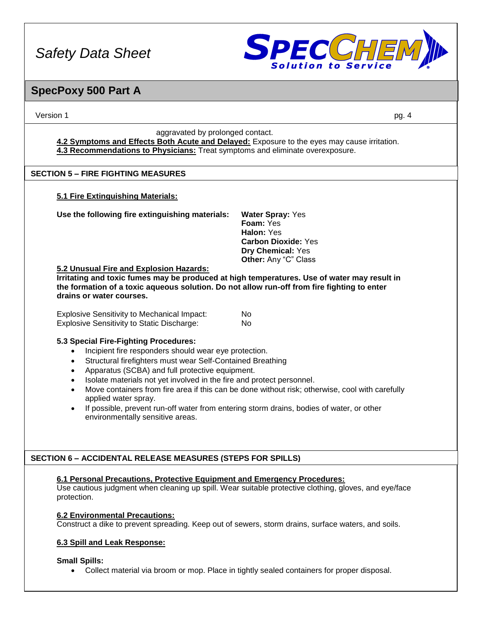

# **SpecPoxy 500 Part A**

| Version 1                                                                                                                                                                                                                                                                                                                                                                                                                                                                                                                                                                                                                         | pg. 4                                                                                                                         |  |  |
|-----------------------------------------------------------------------------------------------------------------------------------------------------------------------------------------------------------------------------------------------------------------------------------------------------------------------------------------------------------------------------------------------------------------------------------------------------------------------------------------------------------------------------------------------------------------------------------------------------------------------------------|-------------------------------------------------------------------------------------------------------------------------------|--|--|
| aggravated by prolonged contact.<br>4.2 Symptoms and Effects Both Acute and Delayed: Exposure to the eyes may cause irritation.<br>4.3 Recommendations to Physicians: Treat symptoms and eliminate overexposure.                                                                                                                                                                                                                                                                                                                                                                                                                  |                                                                                                                               |  |  |
| <b>SECTION 5 - FIRE FIGHTING MEASURES</b>                                                                                                                                                                                                                                                                                                                                                                                                                                                                                                                                                                                         |                                                                                                                               |  |  |
| 5.1 Fire Extinguishing Materials:                                                                                                                                                                                                                                                                                                                                                                                                                                                                                                                                                                                                 |                                                                                                                               |  |  |
| Use the following fire extinguishing materials:<br>5.2 Unusual Fire and Explosion Hazards:<br>Irritating and toxic fumes may be produced at high temperatures. Use of water may result in<br>the formation of a toxic aqueous solution. Do not allow run-off from fire fighting to enter<br>drains or water courses.                                                                                                                                                                                                                                                                                                              | <b>Water Spray: Yes</b><br>Foam: Yes<br>Halon: Yes<br><b>Carbon Dioxide: Yes</b><br>Dry Chemical: Yes<br>Other: Any "C" Class |  |  |
| <b>Explosive Sensitivity to Mechanical Impact:</b><br><b>Explosive Sensitivity to Static Discharge:</b>                                                                                                                                                                                                                                                                                                                                                                                                                                                                                                                           | No<br>No.                                                                                                                     |  |  |
| 5.3 Special Fire-Fighting Procedures:<br>Incipient fire responders should wear eye protection.<br>$\bullet$<br>Structural firefighters must wear Self-Contained Breathing<br>$\bullet$<br>Apparatus (SCBA) and full protective equipment.<br>$\bullet$<br>Isolate materials not yet involved in the fire and protect personnel.<br>$\bullet$<br>Move containers from fire area if this can be done without risk; otherwise, cool with carefully<br>$\bullet$<br>applied water spray.<br>If possible, prevent run-off water from entering storm drains, bodies of water, or other<br>$\bullet$<br>environmentally sensitive areas. |                                                                                                                               |  |  |
| SECTION 6 - ACCIDENTAL RELEASE MEASURES (STEPS FOR SPILLS)                                                                                                                                                                                                                                                                                                                                                                                                                                                                                                                                                                        |                                                                                                                               |  |  |
| 6.1 Personal Precautions, Protective Equipment and Emergency Procedures:<br>protection.<br><b>6.2 Environmental Precautions:</b><br>Construct a dike to prevent spreading. Keep out of sewers, storm drains, surface waters, and soils.<br>6.3 Spill and Leak Response:                                                                                                                                                                                                                                                                                                                                                           | Use cautious judgment when cleaning up spill. Wear suitable protective clothing, gloves, and eye/face                         |  |  |
| <b>Small Spills:</b><br>$\bullet$                                                                                                                                                                                                                                                                                                                                                                                                                                                                                                                                                                                                 | Collect material via broom or mop. Place in tightly sealed containers for proper disposal.                                    |  |  |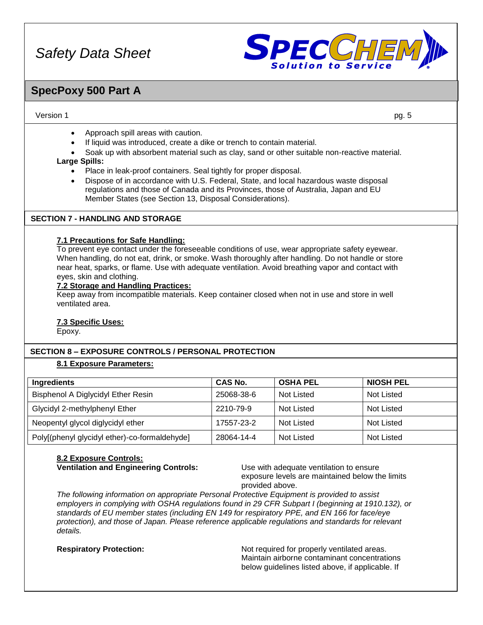

### **SpecPoxy 500 Part A**

#### Version 1 pg. 5

- Approach spill areas with caution.
- If liquid was introduced, create a dike or trench to contain material.
- Soak up with absorbent material such as clay, sand or other suitable non-reactive material.

#### **Large Spills:**

- Place in leak-proof containers. Seal tightly for proper disposal.
- Dispose of in accordance with U.S. Federal, State, and local hazardous waste disposal regulations and those of Canada and its Provinces, those of Australia, Japan and EU Member States (see Section 13, Disposal Considerations).

### **SECTION 7 - HANDLING AND STORAGE**

#### **7.1 Precautions for Safe Handling:**

To prevent eye contact under the foreseeable conditions of use, wear appropriate safety eyewear. When handling, do not eat, drink, or smoke. Wash thoroughly after handling. Do not handle or store near heat, sparks, or flame. Use with adequate ventilation. Avoid breathing vapor and contact with eyes, skin and clothing.

#### **7.2 Storage and Handling Practices:**

Keep away from incompatible materials. Keep container closed when not in use and store in well ventilated area.

### **7.3 Specific Uses:**

Epoxy.

### **SECTION 8 – EXPOSURE CONTROLS / PERSONAL PROTECTION**

### **8.1 Exposure Parameters:**

| Ingredients                                   | <b>CAS No.</b> | <b>OSHA PEL</b> | <b>NIOSH PEL</b> |
|-----------------------------------------------|----------------|-----------------|------------------|
| Bisphenol A Diglycidyl Ether Resin            | 25068-38-6     | Not Listed      | Not Listed       |
| Glycidyl 2-methylphenyl Ether                 | 2210-79-9      | Not Listed      | Not Listed       |
| Neopentyl glycol diglycidyl ether             | 17557-23-2     | Not Listed      | Not Listed       |
| Poly[(phenyl glycidyl ether)-co-formaldehyde] | 28064-14-4     | Not Listed      | Not Listed       |

#### **8.2 Exposure Controls: Ventilation and Engineering Controls:** Use with adequate ventilation to ensure

exposure levels are maintained below the limits provided above.

*The following information on appropriate Personal Protective Equipment is provided to assist employers in complying with OSHA regulations found in 29 CFR Subpart I (beginning at 1910.132), or standards of EU member states (including EN 149 for respiratory PPE, and EN 166 for face/eye protection), and those of Japan. Please reference applicable regulations and standards for relevant details.*

**Respiratory Protection:** Not required for properly ventilated areas. Maintain airborne contaminant concentrations below guidelines listed above, if applicable. If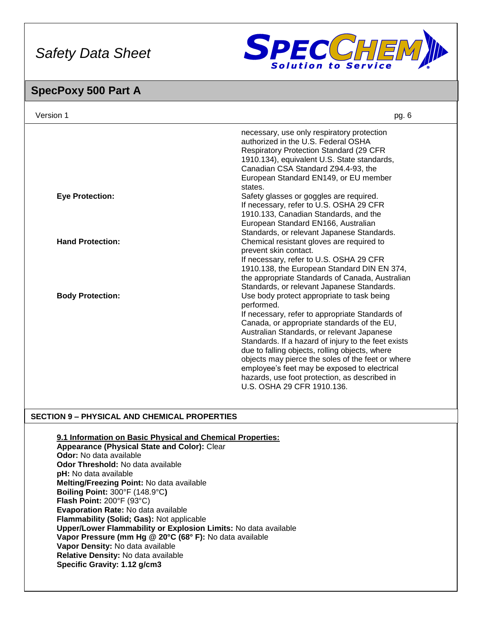

### **SpecPoxy 500 Part A**

| Version 1               | pg. 6                                                                                                                                                                                                                                                                                                                                                                                                                                                                                                 |
|-------------------------|-------------------------------------------------------------------------------------------------------------------------------------------------------------------------------------------------------------------------------------------------------------------------------------------------------------------------------------------------------------------------------------------------------------------------------------------------------------------------------------------------------|
|                         | necessary, use only respiratory protection<br>authorized in the U.S. Federal OSHA<br><b>Respiratory Protection Standard (29 CFR)</b><br>1910.134), equivalent U.S. State standards,<br>Canadian CSA Standard Z94.4-93, the<br>European Standard EN149, or EU member<br>states.                                                                                                                                                                                                                        |
| <b>Eye Protection:</b>  | Safety glasses or goggles are required.<br>If necessary, refer to U.S. OSHA 29 CFR<br>1910.133, Canadian Standards, and the<br>European Standard EN166, Australian<br>Standards, or relevant Japanese Standards.                                                                                                                                                                                                                                                                                      |
| <b>Hand Protection:</b> | Chemical resistant gloves are required to<br>prevent skin contact.<br>If necessary, refer to U.S. OSHA 29 CFR<br>1910.138, the European Standard DIN EN 374,<br>the appropriate Standards of Canada, Australian<br>Standards, or relevant Japanese Standards.                                                                                                                                                                                                                                         |
| <b>Body Protection:</b> | Use body protect appropriate to task being<br>performed.<br>If necessary, refer to appropriate Standards of<br>Canada, or appropriate standards of the EU,<br>Australian Standards, or relevant Japanese<br>Standards. If a hazard of injury to the feet exists<br>due to falling objects, rolling objects, where<br>objects may pierce the soles of the feet or where<br>employee's feet may be exposed to electrical<br>hazards, use foot protection, as described in<br>U.S. OSHA 29 CFR 1910.136. |

### **SECTION 9 – PHYSICAL AND CHEMICAL PROPERTIES**

**9.1 Information on Basic Physical and Chemical Properties: Appearance (Physical State and Color):** Clear **Odor:** No data available **Odor Threshold:** No data available **pH:** No data available **Melting/Freezing Point:** No data available **Boiling Point:** 300°F (148.9°C**) Flash Point:** 200°F (93°C) **Evaporation Rate:** No data available **Flammability (Solid; Gas):** Not applicable **Upper/Lower Flammability or Explosion Limits:** No data available **Vapor Pressure (mm Hg @ 20°C (68° F):** No data available **Vapor Density:** No data available **Relative Density:** No data available **Specific Gravity: 1.12 g/cm3**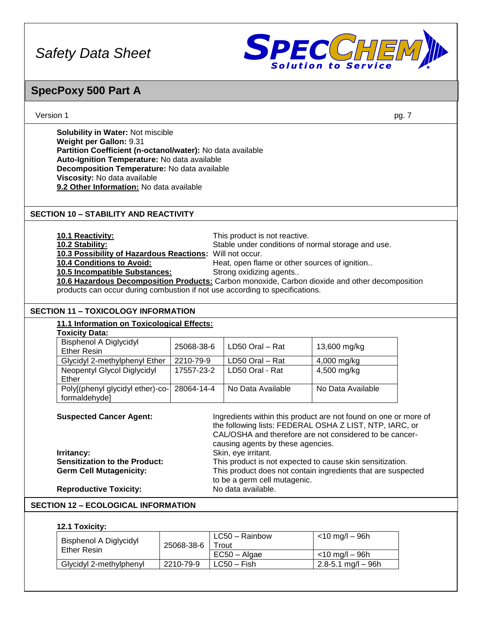

### **SpecPoxy 500 Part A**

| Version 1 | pq. |
|-----------|-----|
|           |     |

**Solubility in Water:** Not miscible **Weight per Gallon:** 9.31 **Partition Coefficient (n-octanol/water):** No data available **Auto-Ignition Temperature:** No data available **Decomposition Temperature:** No data available **Viscosity:** No data available **9.2 Other Information:** No data available

### **SECTION 10 – STABILITY AND REACTIVITY**

**10.1 Reactivity:** This product is not reactive. **10.2 Stability:** Stable under conditions of normal storage and use. **10.3 Possibility of Hazardous Reactions:** Will not occur. 10.4 Conditions to Avoid: Heat, open flame or other sources of ignition.. **10.5 Incompatible Substances:** Strong oxidizing agents.. **10.6 Hazardous Decomposition Products:** Carbon monoxide, Carbon dioxide and other decomposition products can occur during combustion if not use according to specifications.

### **SECTION 11 – TOXICOLOGY INFORMATION**

### **11.1 Information on Toxicological Effects:**

| <b>Toxicity Data:</b>                               |            |                   |                   |
|-----------------------------------------------------|------------|-------------------|-------------------|
| <b>Bisphenol A Diglycidyl</b><br><b>Ether Resin</b> | 25068-38-6 | LD50 Oral - Rat   | 13,600 mg/kg      |
| Glycidyl 2-methylphenyl Ether                       | 2210-79-9  | LD50 Oral - Rat   | 4,000 mg/kg       |
| Neopentyl Glycol Diglycidyl                         | 17557-23-2 | LD50 Oral - Rat   | 4,500 mg/kg       |
| Ether                                               |            |                   |                   |
| Poly[(phenyl glycidyl ether)-co- 28064-14-4         |            | No Data Available | No Data Available |
| formaldehyde]                                       |            |                   |                   |

| <b>Suspected Cancer Agent:</b>       | Ingredients within this product are not found on one or more of<br>the following lists: FEDERAL OSHA Z LIST, NTP, IARC, or<br>CAL/OSHA and therefore are not considered to be cancer-<br>causing agents by these agencies. |
|--------------------------------------|----------------------------------------------------------------------------------------------------------------------------------------------------------------------------------------------------------------------------|
| Irritancy:                           | Skin, eye irritant.                                                                                                                                                                                                        |
| <b>Sensitization to the Product:</b> | This product is not expected to cause skin sensitization.                                                                                                                                                                  |
| <b>Germ Cell Mutagenicity:</b>       | This product does not contain ingredients that are suspected<br>to be a germ cell mutagenic.                                                                                                                               |
| <b>Reproductive Toxicity:</b>        | No data available.                                                                                                                                                                                                         |

### **SECTION 12 – ECOLOGICAL INFORMATION**

#### **12.1 Toxicity:**

| Bisphenol A Diglycidyl<br><b>Ether Resin</b> | 25068-38-6 | LC50 – Rainbow<br>Trout | <10 mg/l – 96h          |
|----------------------------------------------|------------|-------------------------|-------------------------|
|                                              |            | $EC50 - Algae$          | <10 mg/l – 96h          |
| Glycidyl 2-methylphenyl                      | 2210-79-9  | $LC50 - Fish$           | $2.8 - 5.1$ mg/l $-96h$ |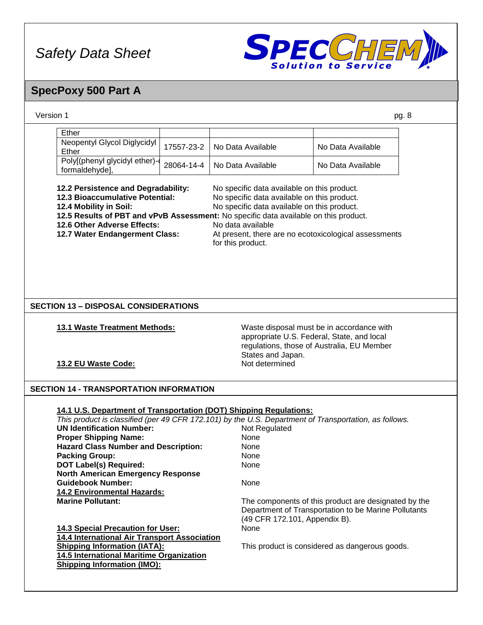

# **SpecPoxy 500 Part A**

| Version 1                                                                                                                                                                                                                                                                                                                                                                                                                                                                                                 |                |                               | pg. 8                                                |
|-----------------------------------------------------------------------------------------------------------------------------------------------------------------------------------------------------------------------------------------------------------------------------------------------------------------------------------------------------------------------------------------------------------------------------------------------------------------------------------------------------------|----------------|-------------------------------|------------------------------------------------------|
| Ether                                                                                                                                                                                                                                                                                                                                                                                                                                                                                                     |                |                               |                                                      |
| Neopentyl Glycol Diglycidyl                                                                                                                                                                                                                                                                                                                                                                                                                                                                               |                |                               |                                                      |
| Ether                                                                                                                                                                                                                                                                                                                                                                                                                                                                                                     | 17557-23-2     | No Data Available             | No Data Available                                    |
| Poly[(phenyl glycidyl ether)-                                                                                                                                                                                                                                                                                                                                                                                                                                                                             |                |                               |                                                      |
| formaldehyde],                                                                                                                                                                                                                                                                                                                                                                                                                                                                                            | 28064-14-4     | No Data Available             | No Data Available                                    |
|                                                                                                                                                                                                                                                                                                                                                                                                                                                                                                           |                |                               |                                                      |
| 12.2 Persistence and Degradability:<br>No specific data available on this product.<br>12.3 Bioaccumulative Potential:<br>No specific data available on this product.<br>No specific data available on this product.<br>12.4 Mobility in Soil:<br>12.5 Results of PBT and vPvB Assessment: No specific data available on this product.<br>12.6 Other Adverse Effects:<br>No data available<br>12.7 Water Endangerment Class:<br>At present, there are no ecotoxicological assessments<br>for this product. |                |                               |                                                      |
| <b>SECTION 13 - DISPOSAL CONSIDERATIONS</b><br>13.1 Waste Treatment Methods:                                                                                                                                                                                                                                                                                                                                                                                                                              |                |                               | Waste disposal must be in accordance with            |
|                                                                                                                                                                                                                                                                                                                                                                                                                                                                                                           |                |                               | appropriate U.S. Federal, State, and local           |
|                                                                                                                                                                                                                                                                                                                                                                                                                                                                                                           |                |                               | regulations, those of Australia, EU Member           |
|                                                                                                                                                                                                                                                                                                                                                                                                                                                                                                           |                | States and Japan.             |                                                      |
| 13.2 EU Waste Code:                                                                                                                                                                                                                                                                                                                                                                                                                                                                                       | Not determined |                               |                                                      |
|                                                                                                                                                                                                                                                                                                                                                                                                                                                                                                           |                |                               |                                                      |
|                                                                                                                                                                                                                                                                                                                                                                                                                                                                                                           |                |                               |                                                      |
| <b>SECTION 14 - TRANSPORTATION INFORMATION</b>                                                                                                                                                                                                                                                                                                                                                                                                                                                            |                |                               |                                                      |
|                                                                                                                                                                                                                                                                                                                                                                                                                                                                                                           |                |                               |                                                      |
| 14.1 U.S. Department of Transportation (DOT) Shipping Regulations:                                                                                                                                                                                                                                                                                                                                                                                                                                        |                |                               |                                                      |
| This product is classified (per 49 CFR 172.101) by the U.S. Department of Transportation, as follows.                                                                                                                                                                                                                                                                                                                                                                                                     |                |                               |                                                      |
| <b>UN Identification Number:</b>                                                                                                                                                                                                                                                                                                                                                                                                                                                                          |                | Not Regulated                 |                                                      |
| <b>Proper Shipping Name:</b>                                                                                                                                                                                                                                                                                                                                                                                                                                                                              |                | None                          |                                                      |
| <b>Hazard Class Number and Description:</b>                                                                                                                                                                                                                                                                                                                                                                                                                                                               |                | None                          |                                                      |
| <b>Packing Group:</b>                                                                                                                                                                                                                                                                                                                                                                                                                                                                                     |                | None                          |                                                      |
| <b>DOT Label(s) Required:</b>                                                                                                                                                                                                                                                                                                                                                                                                                                                                             |                | None                          |                                                      |
| <b>North American Emergency Response</b>                                                                                                                                                                                                                                                                                                                                                                                                                                                                  |                |                               |                                                      |
| <b>Guidebook Number:</b>                                                                                                                                                                                                                                                                                                                                                                                                                                                                                  |                | None                          |                                                      |
| 14.2 Environmental Hazards:                                                                                                                                                                                                                                                                                                                                                                                                                                                                               |                |                               |                                                      |
| <b>Marine Pollutant:</b>                                                                                                                                                                                                                                                                                                                                                                                                                                                                                  |                |                               | The components of this product are designated by the |
|                                                                                                                                                                                                                                                                                                                                                                                                                                                                                                           |                |                               | Department of Transportation to be Marine Pollutants |
|                                                                                                                                                                                                                                                                                                                                                                                                                                                                                                           |                | (49 CFR 172.101, Appendix B). |                                                      |
| 14.3 Special Precaution for User:                                                                                                                                                                                                                                                                                                                                                                                                                                                                         |                | None                          |                                                      |
| 14.4 International Air Transport Association                                                                                                                                                                                                                                                                                                                                                                                                                                                              |                |                               |                                                      |
| <b>Shipping Information (IATA):</b>                                                                                                                                                                                                                                                                                                                                                                                                                                                                       |                |                               | This product is considered as dangerous goods.       |
|                                                                                                                                                                                                                                                                                                                                                                                                                                                                                                           |                |                               |                                                      |
| 14.5 International Maritime Organization                                                                                                                                                                                                                                                                                                                                                                                                                                                                  |                |                               |                                                      |
| <b>Shipping Information (IMO):</b>                                                                                                                                                                                                                                                                                                                                                                                                                                                                        |                |                               |                                                      |
|                                                                                                                                                                                                                                                                                                                                                                                                                                                                                                           |                |                               |                                                      |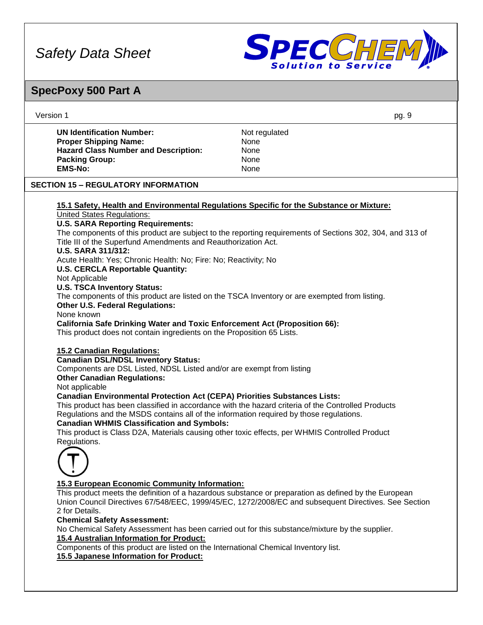

# **SpecPoxy 500 Part A**

| Version 1                                                                                                                                                                                                                                                                                                                                                                                                                                                                                                                                                              | pg. 9                                                                                                                                                                                                        |
|------------------------------------------------------------------------------------------------------------------------------------------------------------------------------------------------------------------------------------------------------------------------------------------------------------------------------------------------------------------------------------------------------------------------------------------------------------------------------------------------------------------------------------------------------------------------|--------------------------------------------------------------------------------------------------------------------------------------------------------------------------------------------------------------|
| <b>UN Identification Number:</b>                                                                                                                                                                                                                                                                                                                                                                                                                                                                                                                                       | Not regulated                                                                                                                                                                                                |
| <b>Proper Shipping Name:</b>                                                                                                                                                                                                                                                                                                                                                                                                                                                                                                                                           | None                                                                                                                                                                                                         |
| <b>Hazard Class Number and Description:</b>                                                                                                                                                                                                                                                                                                                                                                                                                                                                                                                            | None                                                                                                                                                                                                         |
| <b>Packing Group:</b>                                                                                                                                                                                                                                                                                                                                                                                                                                                                                                                                                  | None                                                                                                                                                                                                         |
| <b>EMS-No:</b>                                                                                                                                                                                                                                                                                                                                                                                                                                                                                                                                                         | None                                                                                                                                                                                                         |
| <b>SECTION 15 - REGULATORY INFORMATION</b>                                                                                                                                                                                                                                                                                                                                                                                                                                                                                                                             |                                                                                                                                                                                                              |
| 15.1 Safety, Health and Environmental Regulations Specific for the Substance or Mixture:                                                                                                                                                                                                                                                                                                                                                                                                                                                                               |                                                                                                                                                                                                              |
| <b>United States Regulations:</b>                                                                                                                                                                                                                                                                                                                                                                                                                                                                                                                                      |                                                                                                                                                                                                              |
| <b>U.S. SARA Reporting Requirements:</b>                                                                                                                                                                                                                                                                                                                                                                                                                                                                                                                               |                                                                                                                                                                                                              |
| Title III of the Superfund Amendments and Reauthorization Act.<br><b>U.S. SARA 311/312:</b>                                                                                                                                                                                                                                                                                                                                                                                                                                                                            | The components of this product are subject to the reporting requirements of Sections 302, 304, and 313 of                                                                                                    |
| Acute Health: Yes; Chronic Health: No; Fire: No; Reactivity; No                                                                                                                                                                                                                                                                                                                                                                                                                                                                                                        |                                                                                                                                                                                                              |
| <b>U.S. CERCLA Reportable Quantity:</b>                                                                                                                                                                                                                                                                                                                                                                                                                                                                                                                                |                                                                                                                                                                                                              |
| Not Applicable                                                                                                                                                                                                                                                                                                                                                                                                                                                                                                                                                         |                                                                                                                                                                                                              |
| <b>U.S. TSCA Inventory Status:</b>                                                                                                                                                                                                                                                                                                                                                                                                                                                                                                                                     |                                                                                                                                                                                                              |
| The components of this product are listed on the TSCA Inventory or are exempted from listing.                                                                                                                                                                                                                                                                                                                                                                                                                                                                          |                                                                                                                                                                                                              |
| <b>Other U.S. Federal Regulations:</b>                                                                                                                                                                                                                                                                                                                                                                                                                                                                                                                                 |                                                                                                                                                                                                              |
| None known                                                                                                                                                                                                                                                                                                                                                                                                                                                                                                                                                             |                                                                                                                                                                                                              |
| <b>California Safe Drinking Water and Toxic Enforcement Act (Proposition 66):</b><br>This product does not contain ingredients on the Proposition 65 Lists.                                                                                                                                                                                                                                                                                                                                                                                                            |                                                                                                                                                                                                              |
| <b>15.2 Canadian Regulations:</b><br><b>Canadian DSL/NDSL Inventory Status:</b><br>Components are DSL Listed, NDSL Listed and/or are exempt from listing<br><b>Other Canadian Regulations:</b><br>Not applicable<br><b>Canadian Environmental Protection Act (CEPA) Priorities Substances Lists:</b><br>Regulations and the MSDS contains all of the information required by those regulations.<br><b>Canadian WHMIS Classification and Symbols:</b><br>This product is Class D2A, Materials causing other toxic effects, per WHMIS Controlled Product<br>Regulations. | This product has been classified in accordance with the hazard criteria of the Controlled Products                                                                                                           |
|                                                                                                                                                                                                                                                                                                                                                                                                                                                                                                                                                                        |                                                                                                                                                                                                              |
| 15.3 European Economic Community Information:                                                                                                                                                                                                                                                                                                                                                                                                                                                                                                                          |                                                                                                                                                                                                              |
| 2 for Details.                                                                                                                                                                                                                                                                                                                                                                                                                                                                                                                                                         | This product meets the definition of a hazardous substance or preparation as defined by the European<br>Union Council Directives 67/548/EEC, 1999/45/EC, 1272/2008/EC and subsequent Directives. See Section |
| <b>Chemical Safety Assessment:</b>                                                                                                                                                                                                                                                                                                                                                                                                                                                                                                                                     |                                                                                                                                                                                                              |
|                                                                                                                                                                                                                                                                                                                                                                                                                                                                                                                                                                        | No Chemical Safety Assessment has been carried out for this substance/mixture by the supplier.                                                                                                               |
|                                                                                                                                                                                                                                                                                                                                                                                                                                                                                                                                                                        |                                                                                                                                                                                                              |
| 15.4 Australian Information for Product:<br>Components of this product are listed on the International Chemical Inventory list.                                                                                                                                                                                                                                                                                                                                                                                                                                        |                                                                                                                                                                                                              |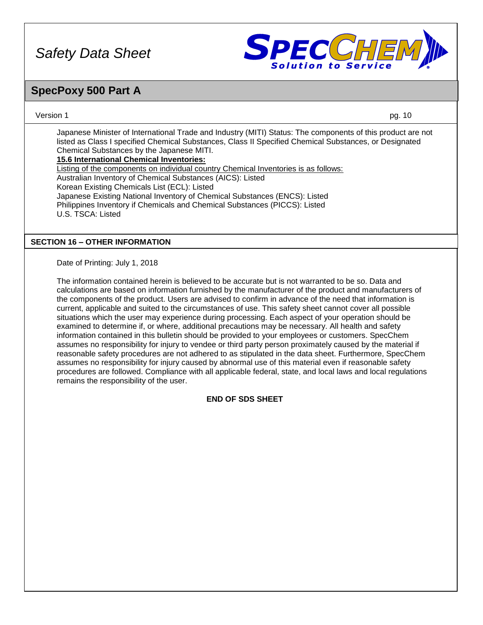

### **SpecPoxy 500 Part A**

Version 1 pg. 10

Japanese Minister of International Trade and Industry (MITI) Status: The components of this product are not listed as Class I specified Chemical Substances, Class II Specified Chemical Substances, or Designated Chemical Substances by the Japanese MITI. **15.6 International Chemical Inventories:**

Listing of the components on individual country Chemical Inventories is as follows: Australian Inventory of Chemical Substances (AICS): Listed Korean Existing Chemicals List (ECL): Listed Japanese Existing National Inventory of Chemical Substances (ENCS): Listed Philippines Inventory if Chemicals and Chemical Substances (PICCS): Listed U.S. TSCA: Listed

### **SECTION 16 – OTHER INFORMATION**

Date of Printing: July 1, 2018

The information contained herein is believed to be accurate but is not warranted to be so. Data and calculations are based on information furnished by the manufacturer of the product and manufacturers of the components of the product. Users are advised to confirm in advance of the need that information is current, applicable and suited to the circumstances of use. This safety sheet cannot cover all possible situations which the user may experience during processing. Each aspect of your operation should be examined to determine if, or where, additional precautions may be necessary. All health and safety information contained in this bulletin should be provided to your employees or customers. SpecChem assumes no responsibility for injury to vendee or third party person proximately caused by the material if reasonable safety procedures are not adhered to as stipulated in the data sheet. Furthermore, SpecChem assumes no responsibility for injury caused by abnormal use of this material even if reasonable safety procedures are followed. Compliance with all applicable federal, state, and local laws and local regulations remains the responsibility of the user.

### **END OF SDS SHEET**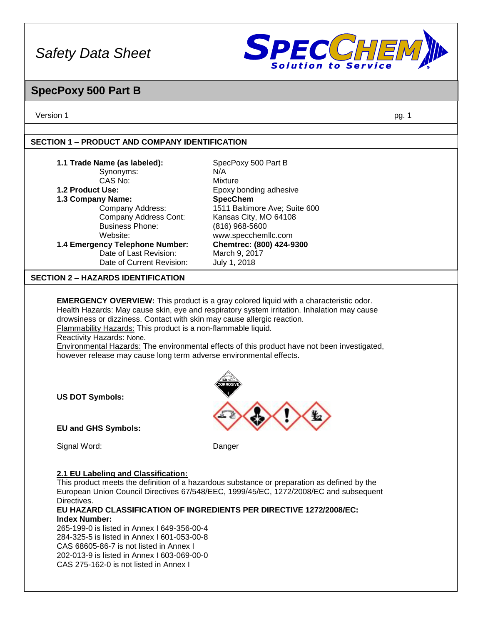

### **SpecPoxy 500 Part B**

Version 1 pg. 1

### **SECTION 1 – PRODUCT AND COMPANY IDENTIFICATION**

CAS 275-162-0 is not listed in Annex I

| 1.1 Trade Name (as labeled):<br>Synonyms:                               | SpecPoxy 500 Part B<br>N/A                                                                   |
|-------------------------------------------------------------------------|----------------------------------------------------------------------------------------------|
| CAS No:                                                                 | <b>Mixture</b>                                                                               |
| 1.2 Product Use:                                                        | Epoxy bonding adhesive                                                                       |
| 1.3 Company Name:                                                       | <b>SpecChem</b>                                                                              |
| Company Address:                                                        | 1511 Baltimore Ave; Suite 600                                                                |
| Company Address Cont:                                                   | Kansas City, MO 64108                                                                        |
| <b>Business Phone:</b>                                                  | (816) 968-5600                                                                               |
| Website:                                                                | www.specchemllc.com                                                                          |
| 1.4 Emergency Telephone Number:                                         | Chemtrec: (800) 424-9300                                                                     |
| Date of Last Revision:                                                  | March 9, 2017                                                                                |
| Date of Current Revision:                                               | July 1, 2018                                                                                 |
| <b>SECTION 2 - HAZARDS IDENTIFICATION</b>                               |                                                                                              |
|                                                                         |                                                                                              |
|                                                                         | <b>EMERGENCY OVERVIEW:</b> This product is a gray colored liquid with a characteristic odor. |
|                                                                         | Health Hazards: May cause skin, eye and respiratory system irritation. Inhalation may cause  |
| drowsiness or dizziness. Contact with skin may cause allergic reaction. |                                                                                              |
| Flammability Hazards: This product is a non-flammable liquid.           |                                                                                              |
| Reactivity Hazards: None.                                               |                                                                                              |
|                                                                         | Environmental Hazards: The environmental effects of this product have not been investigated, |
| however release may cause long term adverse environmental effects.      |                                                                                              |
|                                                                         |                                                                                              |
|                                                                         |                                                                                              |
|                                                                         |                                                                                              |
| <b>US DOT Symbols:</b>                                                  |                                                                                              |
|                                                                         |                                                                                              |
|                                                                         |                                                                                              |
| <b>EU and GHS Symbols:</b>                                              |                                                                                              |
|                                                                         |                                                                                              |
| Signal Word:                                                            | Danger                                                                                       |
|                                                                         |                                                                                              |
| 2.1 EU Labeling and Classification:                                     |                                                                                              |
|                                                                         | This product meets the definition of a hazardous substance or preparation as defined by the  |
|                                                                         | European Union Council Directives 67/548/EEC, 1999/45/EC, 1272/2008/EC and subsequent        |
| Directives.                                                             |                                                                                              |
|                                                                         | EU HAZARD CLASSIFICATION OF INGREDIENTS PER DIRECTIVE 1272/2008/EC:                          |
| <b>Index Number:</b>                                                    |                                                                                              |
| 265-199-0 is listed in Annex I 649-356-00-4                             |                                                                                              |
| 284-325-5 is listed in Annex I 601-053-00-8                             |                                                                                              |
| CAS 68605-86-7 is not listed in Annex I                                 |                                                                                              |
|                                                                         |                                                                                              |
| 202-013-9 is listed in Annex I 603-069-00-0                             |                                                                                              |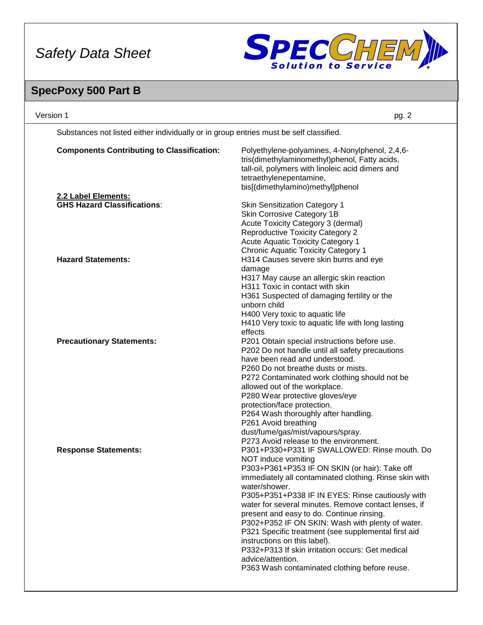

# **SpecPoxy 500 Part B**

| Version 1                                                                              | pg. 2                                                                                                                                                                                                                                                                                                                                                                                                                                                                                                                                                                                                                         |
|----------------------------------------------------------------------------------------|-------------------------------------------------------------------------------------------------------------------------------------------------------------------------------------------------------------------------------------------------------------------------------------------------------------------------------------------------------------------------------------------------------------------------------------------------------------------------------------------------------------------------------------------------------------------------------------------------------------------------------|
| Substances not listed either individually or in group entries must be self classified. |                                                                                                                                                                                                                                                                                                                                                                                                                                                                                                                                                                                                                               |
| <b>Components Contributing to Classification:</b>                                      | Polyethylene-polyamines, 4-Nonylphenol, 2,4,6-<br>tris(dimethylaminomethyl)phenol, Fatty acids,<br>tall-oil, polymers with linoleic acid dimers and<br>tetraethylenepentamine,<br>bis[(dimethylamino)methyl]phenol                                                                                                                                                                                                                                                                                                                                                                                                            |
| 2.2 Label Elements:                                                                    |                                                                                                                                                                                                                                                                                                                                                                                                                                                                                                                                                                                                                               |
| <b>GHS Hazard Classifications:</b>                                                     | <b>Skin Sensitization Category 1</b><br>Skin Corrosive Category 1B<br>Acute Toxicity Category 3 (dermal)<br><b>Reproductive Toxicity Category 2</b><br>Acute Aquatic Toxicity Category 1<br><b>Chronic Aquatic Toxicity Category 1</b>                                                                                                                                                                                                                                                                                                                                                                                        |
| <b>Hazard Statements:</b>                                                              | H314 Causes severe skin burns and eye<br>damage<br>H317 May cause an allergic skin reaction<br>H311 Toxic in contact with skin<br>H361 Suspected of damaging fertility or the<br>unborn child<br>H400 Very toxic to aquatic life<br>H410 Very toxic to aquatic life with long lasting<br>effects                                                                                                                                                                                                                                                                                                                              |
| <b>Precautionary Statements:</b>                                                       | P201 Obtain special instructions before use.<br>P202 Do not handle until all safety precautions<br>have been read and understood.<br>P260 Do not breathe dusts or mists.<br>P272 Contaminated work clothing should not be<br>allowed out of the workplace.<br>P280 Wear protective gloves/eye<br>protection/face protection.<br>P264 Wash thoroughly after handling.<br>P261 Avoid breathing<br>dust/fume/gas/mist/vapours/spray.<br>P273 Avoid release to the environment.                                                                                                                                                   |
| <b>Response Statements:</b>                                                            | P301+P330+P331 IF SWALLOWED: Rinse mouth. Do<br>NOT induce vomiting<br>P303+P361+P353 IF ON SKIN (or hair): Take off<br>immediately all contaminated clothing. Rinse skin with<br>water/shower.<br>P305+P351+P338 IF IN EYES: Rinse cautiously with<br>water for several minutes. Remove contact lenses, if<br>present and easy to do. Continue rinsing.<br>P302+P352 IF ON SKIN: Wash with plenty of water.<br>P321 Specific treatment (see supplemental first aid<br>instructions on this label).<br>P332+P313 If skin irritation occurs: Get medical<br>advice/attention.<br>P363 Wash contaminated clothing before reuse. |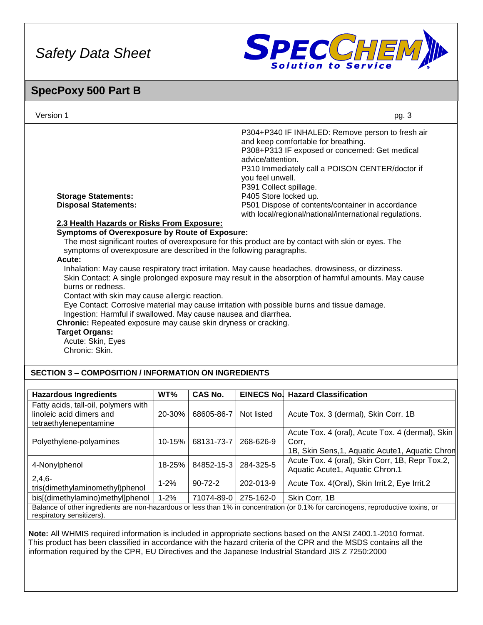

### **SpecPoxy 500 Part B**

| Version 1                                                                                                                                                                                                                                                                                                                                                                                                                                                                                                                     |        |            |                                                                                          | pg. 3                                                                                                                                                                                                                                                                                                                                                                                                                                                                                                                                                                                                                                                                                                                          |
|-------------------------------------------------------------------------------------------------------------------------------------------------------------------------------------------------------------------------------------------------------------------------------------------------------------------------------------------------------------------------------------------------------------------------------------------------------------------------------------------------------------------------------|--------|------------|------------------------------------------------------------------------------------------|--------------------------------------------------------------------------------------------------------------------------------------------------------------------------------------------------------------------------------------------------------------------------------------------------------------------------------------------------------------------------------------------------------------------------------------------------------------------------------------------------------------------------------------------------------------------------------------------------------------------------------------------------------------------------------------------------------------------------------|
| <b>Storage Statements:</b><br><b>Disposal Statements:</b><br>2.3 Health Hazards or Risks From Exposure:<br><b>Symptoms of Overexposure by Route of Exposure:</b><br>symptoms of overexposure are described in the following paragraphs.<br>Acute:<br>burns or redness.<br>Contact with skin may cause allergic reaction.<br>Ingestion: Harmful if swallowed. May cause nausea and diarrhea.<br>Chronic: Repeated exposure may cause skin dryness or cracking.<br><b>Target Organs:</b><br>Acute: Skin, Eyes<br>Chronic: Skin. |        |            | advice/attention.<br>you feel unwell.<br>P391 Collect spillage.<br>P405 Store locked up. | P304+P340 IF INHALED: Remove person to fresh air<br>and keep comfortable for breathing.<br>P308+P313 IF exposed or concerned: Get medical<br>P310 Immediately call a POISON CENTER/doctor if<br>P501 Dispose of contents/container in accordance<br>with local/regional/national/international regulations.<br>The most significant routes of overexposure for this product are by contact with skin or eyes. The<br>Inhalation: May cause respiratory tract irritation. May cause headaches, drowsiness, or dizziness.<br>Skin Contact: A single prolonged exposure may result in the absorption of harmful amounts. May cause<br>Eye Contact: Corrosive material may cause irritation with possible burns and tissue damage. |
| <b>SECTION 3 - COMPOSITION / INFORMATION ON INGREDIENTS</b>                                                                                                                                                                                                                                                                                                                                                                                                                                                                   |        |            |                                                                                          |                                                                                                                                                                                                                                                                                                                                                                                                                                                                                                                                                                                                                                                                                                                                |
| <b>Hazardous Ingredients</b>                                                                                                                                                                                                                                                                                                                                                                                                                                                                                                  | WT%    | CAS No.    |                                                                                          | <b>EINECS No. Hazard Classification</b>                                                                                                                                                                                                                                                                                                                                                                                                                                                                                                                                                                                                                                                                                        |
| Fatty acids, tall-oil, polymers with<br>linoleic acid dimers and<br>tetraethylenepentamine                                                                                                                                                                                                                                                                                                                                                                                                                                    | 20-30% | 68605-86-7 | Not listed                                                                               | Acute Tox. 3 (dermal), Skin Corr. 1B                                                                                                                                                                                                                                                                                                                                                                                                                                                                                                                                                                                                                                                                                           |
| Polyethylene-polyamines                                                                                                                                                                                                                                                                                                                                                                                                                                                                                                       | 10-15% | 68131-73-7 | 268-626-9                                                                                | Acute Tox. 4 (oral), Acute Tox. 4 (dermal), Skin<br>Corr,                                                                                                                                                                                                                                                                                                                                                                                                                                                                                                                                                                                                                                                                      |

1B, Skin Sens, 1, Aquatic Acute1, Aquatic Chron 4-Nonylphenol 18-25% 84852-15-3 284-325-5 Acute Tox. 4 (oral), Skin Corr, 1B, Repr Tox.2, Aquatic Acute1, Aquatic Chron.1 2,4,6-  $\mathcal{L}$ ,4,0<sup>-</sup><br>tris(dimethylaminomethyl)phenol  $\begin{vmatrix} 1-2\% & 90-72-2 \end{vmatrix}$  202-013-9 Acute Tox. 4(Oral), Skin Irrit.2, Eye Irrit.2 bis[(dimethylamino)methyl]phenol | 1-2% | 71074-89-0 | 275-162-0 | Skin Corr, 1B Balance of other ingredients are non-hazardous or less than 1% in concentration (or 0.1% for carcinogens, reproductive toxins, or

respiratory sensitizers).

**Note:** All WHMIS required information is included in appropriate sections based on the ANSI Z400.1-2010 format. This product has been classified in accordance with the hazard criteria of the CPR and the MSDS contains all the information required by the CPR, EU Directives and the Japanese Industrial Standard JIS Z 7250:2000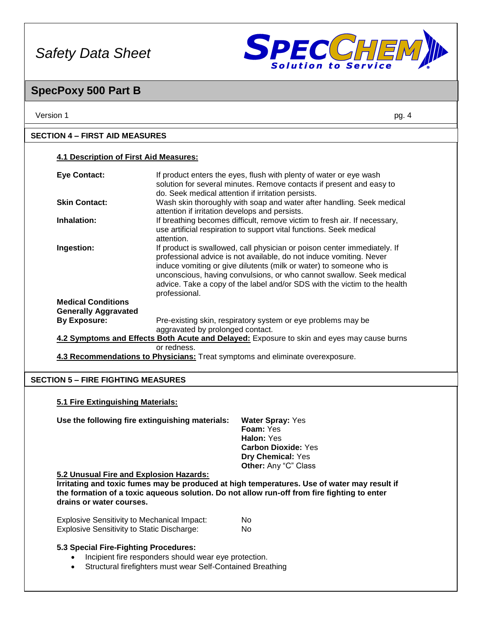

### **SpecPoxy 500 Part B**

| Version 1                                                | pg. 4                                                                                                                                                                                                                                                                                                                                                                                        |  |
|----------------------------------------------------------|----------------------------------------------------------------------------------------------------------------------------------------------------------------------------------------------------------------------------------------------------------------------------------------------------------------------------------------------------------------------------------------------|--|
| <b>SECTION 4 – FIRST AID MEASURES</b>                    |                                                                                                                                                                                                                                                                                                                                                                                              |  |
| <b>4.1 Description of First Aid Measures:</b>            |                                                                                                                                                                                                                                                                                                                                                                                              |  |
| <b>Eye Contact:</b>                                      | If product enters the eyes, flush with plenty of water or eye wash<br>solution for several minutes. Remove contacts if present and easy to<br>do. Seek medical attention if irritation persists.                                                                                                                                                                                             |  |
| <b>Skin Contact:</b>                                     | Wash skin thoroughly with soap and water after handling. Seek medical<br>attention if irritation develops and persists.                                                                                                                                                                                                                                                                      |  |
| Inhalation:                                              | If breathing becomes difficult, remove victim to fresh air. If necessary,<br>use artificial respiration to support vital functions. Seek medical<br>attention.                                                                                                                                                                                                                               |  |
| Ingestion:                                               | If product is swallowed, call physician or poison center immediately. If<br>professional advice is not available, do not induce vomiting. Never<br>induce vomiting or give dilutents (milk or water) to someone who is<br>unconscious, having convulsions, or who cannot swallow. Seek medical<br>advice. Take a copy of the label and/or SDS with the victim to the health<br>professional. |  |
| <b>Medical Conditions</b><br><b>Generally Aggravated</b> |                                                                                                                                                                                                                                                                                                                                                                                              |  |
| <b>By Exposure:</b>                                      | Pre-existing skin, respiratory system or eye problems may be<br>aggravated by prolonged contact.                                                                                                                                                                                                                                                                                             |  |
|                                                          | 4.2 Symptoms and Effects Both Acute and Delayed: Exposure to skin and eyes may cause burns                                                                                                                                                                                                                                                                                                   |  |
|                                                          | or redness.<br>4.3 Recommendations to Physicians: Treat symptoms and eliminate overexposure.                                                                                                                                                                                                                                                                                                 |  |
| <b>SECTION 5 - FIRE FIGHTING MEASURES</b>                |                                                                                                                                                                                                                                                                                                                                                                                              |  |
| 5.1 Fire Extinguishing Materials:                        |                                                                                                                                                                                                                                                                                                                                                                                              |  |

| Use the following fire extinguishing materials: | <b>Water Spray: Yes</b>     |
|-------------------------------------------------|-----------------------------|
|                                                 | <b>Foam:</b> Yes            |
|                                                 | Halon: Yes                  |
|                                                 | <b>Carbon Dioxide: Yes</b>  |
|                                                 | <b>Dry Chemical: Yes</b>    |
|                                                 | <b>Other:</b> Any "C" Class |

### **5.2 Unusual Fire and Explosion Hazards:**

**IFFERTERTE IT IS 2018 18 IF THE INTERTED IN A THE IT IS 2018 10 IF THE IT IS 2018 10 IF THE IT IS 2019 10 IF T the formation of a toxic aqueous solution. Do not allow run-off from fire fighting to enter drains or water courses.**

| <b>Explosive Sensitivity to Mechanical Impact:</b> | No. |
|----------------------------------------------------|-----|
| <b>Explosive Sensitivity to Static Discharge:</b>  | No. |

### **5.3 Special Fire-Fighting Procedures:**

- Incipient fire responders should wear eye protection.
- Structural firefighters must wear Self-Contained Breathing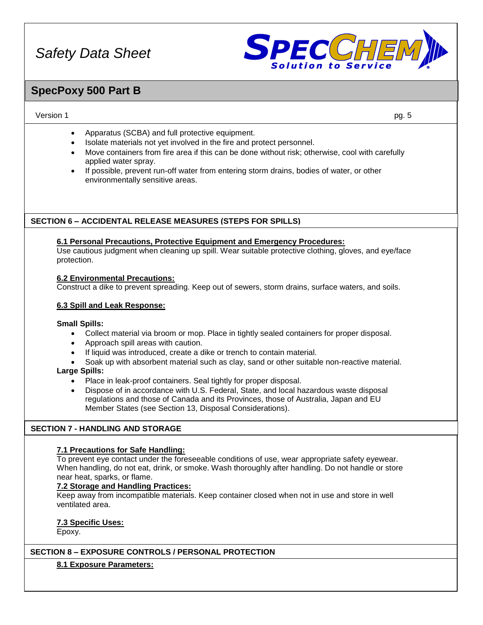

### **SpecPoxy 500 Part B**

#### Version 1 pg. 5

- Apparatus (SCBA) and full protective equipment.
- Isolate materials not yet involved in the fire and protect personnel.
- Move containers from fire area if this can be done without risk; otherwise, cool with carefully applied water spray.
- If possible, prevent run-off water from entering storm drains, bodies of water, or other environmentally sensitive areas.

### **SECTION 6 – ACCIDENTAL RELEASE MEASURES (STEPS FOR SPILLS)**

#### **6.1 Personal Precautions, Protective Equipment and Emergency Procedures:**

Use cautious judgment when cleaning up spill. Wear suitable protective clothing, gloves, and eye/face protection.

#### **6.2 Environmental Precautions:**

Construct a dike to prevent spreading. Keep out of sewers, storm drains, surface waters, and soils.

### **6.3 Spill and Leak Response:**

### **Small Spills:**

- Collect material via broom or mop. Place in tightly sealed containers for proper disposal.
- Approach spill areas with caution.
- If liquid was introduced, create a dike or trench to contain material.
- Soak up with absorbent material such as clay, sand or other suitable non-reactive material.

### **Large Spills:**

- Place in leak-proof containers. Seal tightly for proper disposal.
- Dispose of in accordance with U.S. Federal, State, and local hazardous waste disposal regulations and those of Canada and its Provinces, those of Australia, Japan and EU Member States (see Section 13, Disposal Considerations).

### **SECTION 7 - HANDLING AND STORAGE**

### **7.1 Precautions for Safe Handling:**

To prevent eye contact under the foreseeable conditions of use, wear appropriate safety eyewear. When handling, do not eat, drink, or smoke. Wash thoroughly after handling. Do not handle or store near heat, sparks, or flame.

### **7.2 Storage and Handling Practices:**

Keep away from incompatible materials. Keep container closed when not in use and store in well ventilated area.

### **7.3 Specific Uses:**

Epoxy.

### **SECTION 8 – EXPOSURE CONTROLS / PERSONAL PROTECTION**

### **8.1 Exposure Parameters:**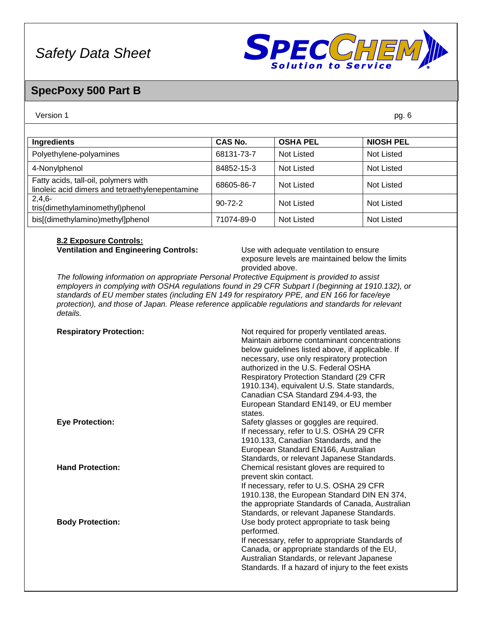

### **SpecPoxy 500 Part B**

#### Version 1 pg. 6

| <b>Ingredients</b>                                                                      | <b>CAS No.</b> | <b>OSHA PEL</b>   | <b>NIOSH PEL</b>  |
|-----------------------------------------------------------------------------------------|----------------|-------------------|-------------------|
| Polyethylene-polyamines                                                                 | 68131-73-7     | Not Listed        | <b>Not Listed</b> |
| 4-Nonylphenol                                                                           | 84852-15-3     | <b>Not Listed</b> | <b>Not Listed</b> |
| Fatty acids, tall-oil, polymers with<br>linoleic acid dimers and tetraethylenepentamine | 68605-86-7     | <b>Not Listed</b> | <b>Not Listed</b> |
| $2,4,6-$<br>tris(dimethylaminomethyl)phenol                                             | $90 - 72 - 2$  | Not Listed        | <b>Not Listed</b> |
| bis[(dimethylamino)methyl]phenol                                                        | 71074-89-0     | <b>Not Listed</b> | Not Listed        |

### **8.2 Exposure Controls:**

**Ventilation and Engineering Controls:** Use with adequate ventilation to ensure exposure levels are maintained below the limits provided above.

*The following information on appropriate Personal Protective Equipment is provided to assist employers in complying with OSHA regulations found in 29 CFR Subpart I (beginning at 1910.132), or standards of EU member states (including EN 149 for respiratory PPE, and EN 166 for face/eye protection), and those of Japan. Please reference applicable regulations and standards for relevant details.*

| <b>Respiratory Protection:</b> | Not required for properly ventilated areas.<br>Maintain airborne contaminant concentrations<br>below guidelines listed above, if applicable. If<br>necessary, use only respiratory protection<br>authorized in the U.S. Federal OSHA<br><b>Respiratory Protection Standard (29 CFR)</b><br>1910.134), equivalent U.S. State standards,<br>Canadian CSA Standard Z94.4-93, the<br>European Standard EN149, or EU member<br>states. |
|--------------------------------|-----------------------------------------------------------------------------------------------------------------------------------------------------------------------------------------------------------------------------------------------------------------------------------------------------------------------------------------------------------------------------------------------------------------------------------|
| <b>Eye Protection:</b>         | Safety glasses or goggles are required.<br>If necessary, refer to U.S. OSHA 29 CFR<br>1910.133, Canadian Standards, and the<br>European Standard EN166, Australian<br>Standards, or relevant Japanese Standards.                                                                                                                                                                                                                  |
| <b>Hand Protection:</b>        | Chemical resistant gloves are required to<br>prevent skin contact.<br>If necessary, refer to U.S. OSHA 29 CFR<br>1910.138, the European Standard DIN EN 374,<br>the appropriate Standards of Canada, Australian<br>Standards, or relevant Japanese Standards.                                                                                                                                                                     |
| <b>Body Protection:</b>        | Use body protect appropriate to task being<br>performed.<br>If necessary, refer to appropriate Standards of<br>Canada, or appropriate standards of the EU,<br>Australian Standards, or relevant Japanese<br>Standards. If a hazard of injury to the feet exists                                                                                                                                                                   |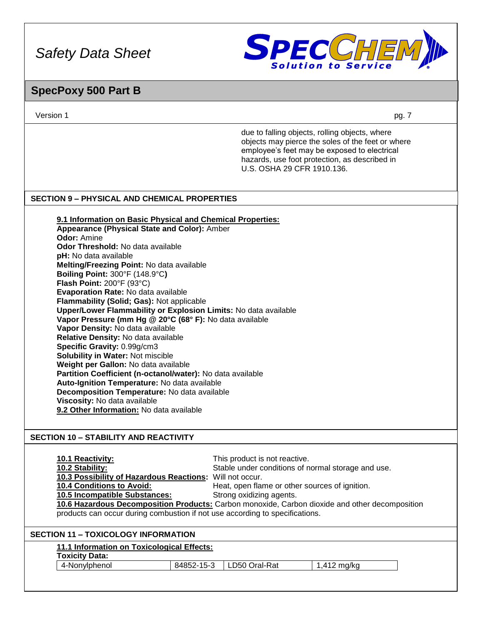

### **SpecPoxy 500 Part B**

Version 1 pg. 7

due to falling objects, rolling objects, where objects may pierce the soles of the feet or where employee's feet may be exposed to electrical hazards, use foot protection, as described in U.S. OSHA 29 CFR 1910.136.

### **SECTION 9 – PHYSICAL AND CHEMICAL PROPERTIES**

**9.1 Information on Basic Physical and Chemical Properties: Appearance (Physical State and Color):** Amber **Odor:** Amine **Odor Threshold:** No data available **pH:** No data available **Melting/Freezing Point:** No data available **Boiling Point:** 300°F (148.9°C**) Flash Point:** 200°F (93°C) **Evaporation Rate:** No data available **Flammability (Solid; Gas):** Not applicable **Upper/Lower Flammability or Explosion Limits:** No data available **Vapor Pressure (mm Hg @ 20°C (68° F):** No data available **Vapor Density:** No data available **Relative Density:** No data available **Specific Gravity:** 0.99g/cm3 **Solubility in Water:** Not miscible **Weight per Gallon:** No data available **Partition Coefficient (n-octanol/water):** No data available **Auto-Ignition Temperature:** No data available **Decomposition Temperature:** No data available **Viscosity:** No data available **9.2 Other Information:** No data available

### **SECTION 10 – STABILITY AND REACTIVITY**

**10.1 Reactivity:** This product is not reactive. **10.2 Stability:** Stable under conditions of normal storage and use. **10.3 Possibility of Hazardous Reactions:** Will not occur. Heat, open flame or other sources of ignition. **10.5 Incompatible Substances:** Strong oxidizing agents. **10.6 Hazardous Decomposition Products:** Carbon monoxide, Carbon dioxide and other decomposition products can occur during combustion if not use according to specifications.

### **SECTION 11 – TOXICOLOGY INFORMATION**

### **11.1 Information on Toxicological Effects:**

**Toxicity Data:**

4-Nonylphenol 84852-15-3 LD50 Oral-Rat 1,412 mg/kg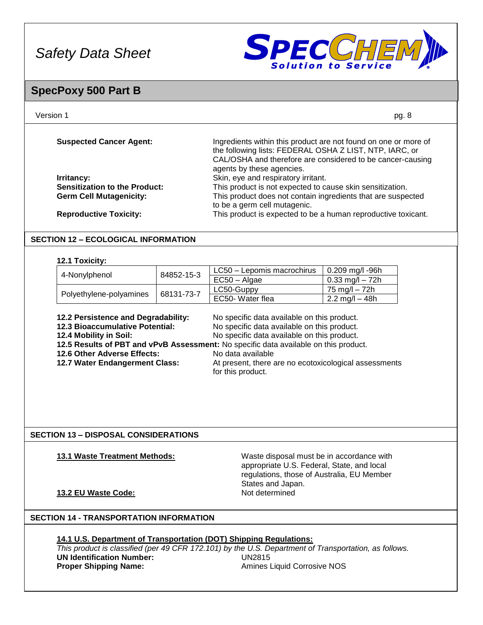

### **SpecPoxy 500 Part B**

| Version 1 | pg. 8 |
|-----------|-------|
|           |       |

| <b>Suspected Cancer Agent:</b>       | Ingredients within this product are not found on one or more of<br>the following lists: FEDERAL OSHA Z LIST, NTP, IARC, or<br>CAL/OSHA and therefore are considered to be cancer-causing<br>agents by these agencies. |
|--------------------------------------|-----------------------------------------------------------------------------------------------------------------------------------------------------------------------------------------------------------------------|
| Irritancy:                           | Skin, eye and respiratory irritant.                                                                                                                                                                                   |
| <b>Sensitization to the Product:</b> | This product is not expected to cause skin sensitization.                                                                                                                                                             |
| <b>Germ Cell Mutagenicity:</b>       | This product does not contain ingredients that are suspected<br>to be a germ cell mutagenic.                                                                                                                          |
| <b>Reproductive Toxicity:</b>        | This product is expected to be a human reproductive toxicant.                                                                                                                                                         |

### **SECTION 12 – ECOLOGICAL INFORMATION**

#### **12.1 Toxicity:**

|                                       |  |                  | 0.209 mg/l -96h                  |
|---------------------------------------|--|------------------|----------------------------------|
| 84852-15-3<br>4-Nonylphenol           |  | $EC50 - Algae$   | $0.33 \text{ mg/l} - 72h$        |
| 68131-73-7<br>Polyethylene-polyamines |  | LC50-Guppy       | 75 ma/l – 72h                    |
|                                       |  | EC50- Water flea | $2.2 \text{ mg/l} - 48 \text{h}$ |

| 12.2 Persistence and Degradability:<br>12.3 Bioaccumulative Potential:                                                                                                                                            | No specific data available on this product.<br>No specific data available on this product. |
|-------------------------------------------------------------------------------------------------------------------------------------------------------------------------------------------------------------------|--------------------------------------------------------------------------------------------|
| No specific data available on this product.<br>12.4 Mobility in Soil:<br>12.5 Results of PBT and vPvB Assessment: No specific data available on this product.<br>12.6 Other Adverse Effects:<br>No data available |                                                                                            |
| 12.7 Water Endangerment Class:                                                                                                                                                                                    | At present, there are no ecotoxicological assessments<br>for this product.                 |

### **SECTION 13 – DISPOSAL CONSIDERATIONS**

**13.1 Waste Treatment Methods:** Waste disposal must be in accordance with appropriate U.S. Federal, State, and local regulations, those of Australia, EU Member States and Japan.<br>Not determined

### **13.2 EU Waste Code:**

### **SECTION 14 - TRANSPORTATION INFORMATION**

### **14.1 U.S. Department of Transportation (DOT) Shipping Regulations:** *This product is classified (per 49 CFR 172.101) by the U.S. Department of Transportation, as follows.* **UN Identification Number:** UN2815 **Proper Shipping Name: Amines Liquid Corrosive NOS**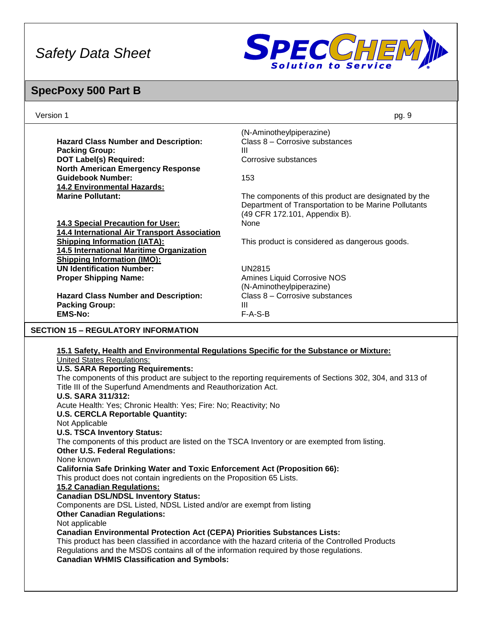

# **SpecPoxy 500 Part B**

| Version 1                                                                                                                                                                                                                                                                                                                                                                                                                                                                                                                                                                                                                                                                                                                                                                                                                                                                                                                                                                                                                                                                                                                                                                                                                                                                                                                                                                                                                                          | pg. 9                                                                                                                                                 |  |
|----------------------------------------------------------------------------------------------------------------------------------------------------------------------------------------------------------------------------------------------------------------------------------------------------------------------------------------------------------------------------------------------------------------------------------------------------------------------------------------------------------------------------------------------------------------------------------------------------------------------------------------------------------------------------------------------------------------------------------------------------------------------------------------------------------------------------------------------------------------------------------------------------------------------------------------------------------------------------------------------------------------------------------------------------------------------------------------------------------------------------------------------------------------------------------------------------------------------------------------------------------------------------------------------------------------------------------------------------------------------------------------------------------------------------------------------------|-------------------------------------------------------------------------------------------------------------------------------------------------------|--|
| <b>Hazard Class Number and Description:</b><br><b>Packing Group:</b><br><b>DOT Label(s) Required:</b>                                                                                                                                                                                                                                                                                                                                                                                                                                                                                                                                                                                                                                                                                                                                                                                                                                                                                                                                                                                                                                                                                                                                                                                                                                                                                                                                              | (N-Aminotheylpiperazine)<br>Class 8 - Corrosive substances<br>Ш<br>Corrosive substances                                                               |  |
| <b>North American Emergency Response</b><br><b>Guidebook Number:</b><br><b>14.2 Environmental Hazards:</b><br><b>Marine Pollutant:</b>                                                                                                                                                                                                                                                                                                                                                                                                                                                                                                                                                                                                                                                                                                                                                                                                                                                                                                                                                                                                                                                                                                                                                                                                                                                                                                             | 153                                                                                                                                                   |  |
| 14.3 Special Precaution for User:                                                                                                                                                                                                                                                                                                                                                                                                                                                                                                                                                                                                                                                                                                                                                                                                                                                                                                                                                                                                                                                                                                                                                                                                                                                                                                                                                                                                                  | The components of this product are designated by the<br>Department of Transportation to be Marine Pollutants<br>(49 CFR 172.101, Appendix B).<br>None |  |
| 14.4 International Air Transport Association<br><b>Shipping Information (IATA):</b><br>14.5 International Maritime Organization                                                                                                                                                                                                                                                                                                                                                                                                                                                                                                                                                                                                                                                                                                                                                                                                                                                                                                                                                                                                                                                                                                                                                                                                                                                                                                                    | This product is considered as dangerous goods.                                                                                                        |  |
| <b>Shipping Information (IMO):</b><br><b>UN Identification Number:</b><br><b>Proper Shipping Name:</b>                                                                                                                                                                                                                                                                                                                                                                                                                                                                                                                                                                                                                                                                                                                                                                                                                                                                                                                                                                                                                                                                                                                                                                                                                                                                                                                                             | <b>UN2815</b><br>Amines Liquid Corrosive NOS                                                                                                          |  |
| <b>Hazard Class Number and Description:</b><br><b>Packing Group:</b>                                                                                                                                                                                                                                                                                                                                                                                                                                                                                                                                                                                                                                                                                                                                                                                                                                                                                                                                                                                                                                                                                                                                                                                                                                                                                                                                                                               | (N-Aminotheylpiperazine)<br>Class 8 - Corrosive substances<br>Ш                                                                                       |  |
| <b>EMS-No:</b><br><b>SECTION 15 - REGULATORY INFORMATION</b>                                                                                                                                                                                                                                                                                                                                                                                                                                                                                                                                                                                                                                                                                                                                                                                                                                                                                                                                                                                                                                                                                                                                                                                                                                                                                                                                                                                       | $F-A-S-B$                                                                                                                                             |  |
|                                                                                                                                                                                                                                                                                                                                                                                                                                                                                                                                                                                                                                                                                                                                                                                                                                                                                                                                                                                                                                                                                                                                                                                                                                                                                                                                                                                                                                                    |                                                                                                                                                       |  |
| 15.1 Safety, Health and Environmental Regulations Specific for the Substance or Mixture:<br><b>United States Regulations:</b><br><b>U.S. SARA Reporting Requirements:</b><br>The components of this product are subject to the reporting requirements of Sections 302, 304, and 313 of<br>Title III of the Superfund Amendments and Reauthorization Act.<br><b>U.S. SARA 311/312:</b><br>Acute Health: Yes; Chronic Health: Yes; Fire: No; Reactivity; No<br><b>U.S. CERCLA Reportable Quantity:</b><br>Not Applicable<br><b>U.S. TSCA Inventory Status:</b><br>The components of this product are listed on the TSCA Inventory or are exempted from listing.<br><b>Other U.S. Federal Regulations:</b><br>None known<br><b>California Safe Drinking Water and Toxic Enforcement Act (Proposition 66):</b><br>This product does not contain ingredients on the Proposition 65 Lists.<br><b>15.2 Canadian Regulations:</b><br><b>Canadian DSL/NDSL Inventory Status:</b><br>Components are DSL Listed, NDSL Listed and/or are exempt from listing<br><b>Other Canadian Regulations:</b><br>Not applicable<br><b>Canadian Environmental Protection Act (CEPA) Priorities Substances Lists:</b><br>This product has been classified in accordance with the hazard criteria of the Controlled Products<br>Regulations and the MSDS contains all of the information required by those regulations.<br><b>Canadian WHMIS Classification and Symbols:</b> |                                                                                                                                                       |  |